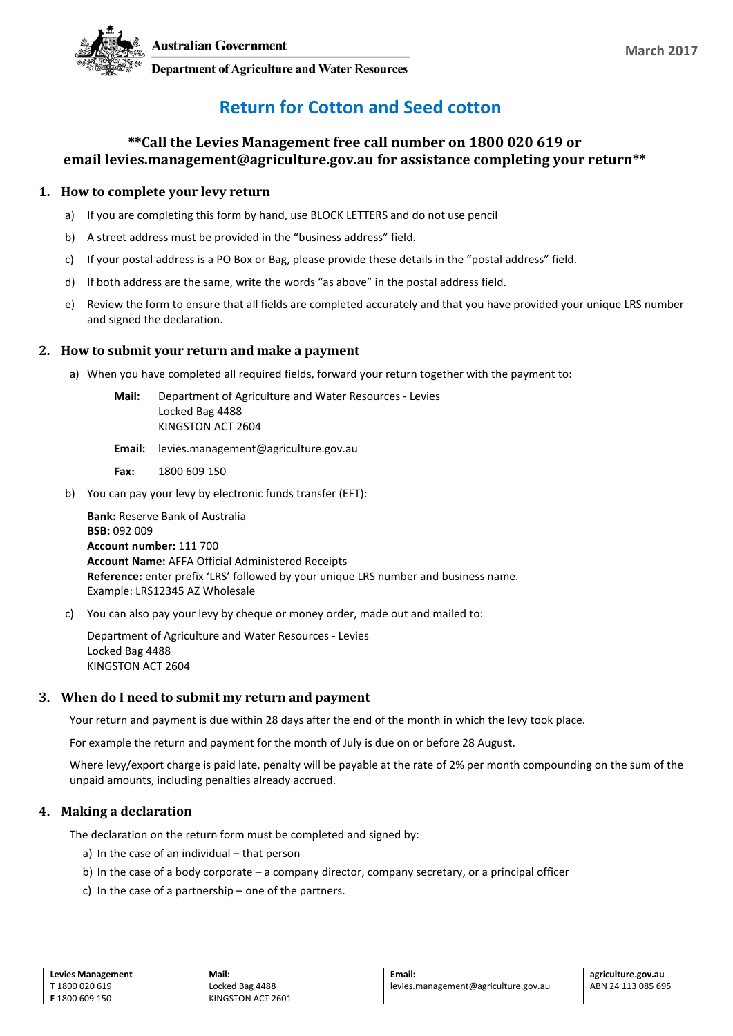

**Department of Agriculture and Water Resources** 

# **Return for Cotton and Seed cotton**

### **\*\*Call the Levies Management free call number on 1800 020 619 or email levies.management@agriculture.gov.au for assistance completing your return\*\***

#### **1. How to complete your levy return**

- a) If you are completing this form by hand, use BLOCK LETTERS and do not use pencil
- b) A street address must be provided in the "business address" field.
- c) If your postal address is a PO Box or Bag, please provide these details in the "postal address" field.
- d) If both address are the same, write the words "as above" in the postal address field.
- e) Review the form to ensure that all fields are completed accurately and that you have provided your unique LRS number and signed the declaration.

#### **2. How to submit your return and make a payment**

- a) When you have completed all required fields, forward your return together with the payment to:
	- **Mail:** Department of Agriculture and Water Resources Levies Locked Bag 4488 KINGSTON ACT 2604
	- **Email:** levies.management@agriculture.gov.au
	- **Fax:** 1800 609 150
- b) You can pay your levy by electronic funds transfer (EFT):

**Bank:** Reserve Bank of Australia **BSB:** 092 009 **Account number:** 111 700 **Account Name:** AFFA Official Administered Receipts **Reference:** enter prefix 'LRS' followed by your unique LRS number and business name. Example: LRS12345 AZ Wholesale

c) You can also pay your levy by cheque or money order, made out and mailed to:

Department of Agriculture and Water Resources - Levies Locked Bag 4488 KINGSTON ACT 2604

#### **3. When do I need to submit my return and payment**

Your return and payment is due within 28 days after the end of the month in which the levy took place.

For example the return and payment for the month of July is due on or before 28 August.

Where levy/export charge is paid late, penalty will be payable at the rate of 2% per month compounding on the sum of the unpaid amounts, including penalties already accrued.

#### **4. Making a declaration**

The declaration on the return form must be completed and signed by:

- a) In the case of an individual that person
- b) In the case of a body corporate a company director, company secretary, or a principal officer
- c) In the case of a partnership one of the partners.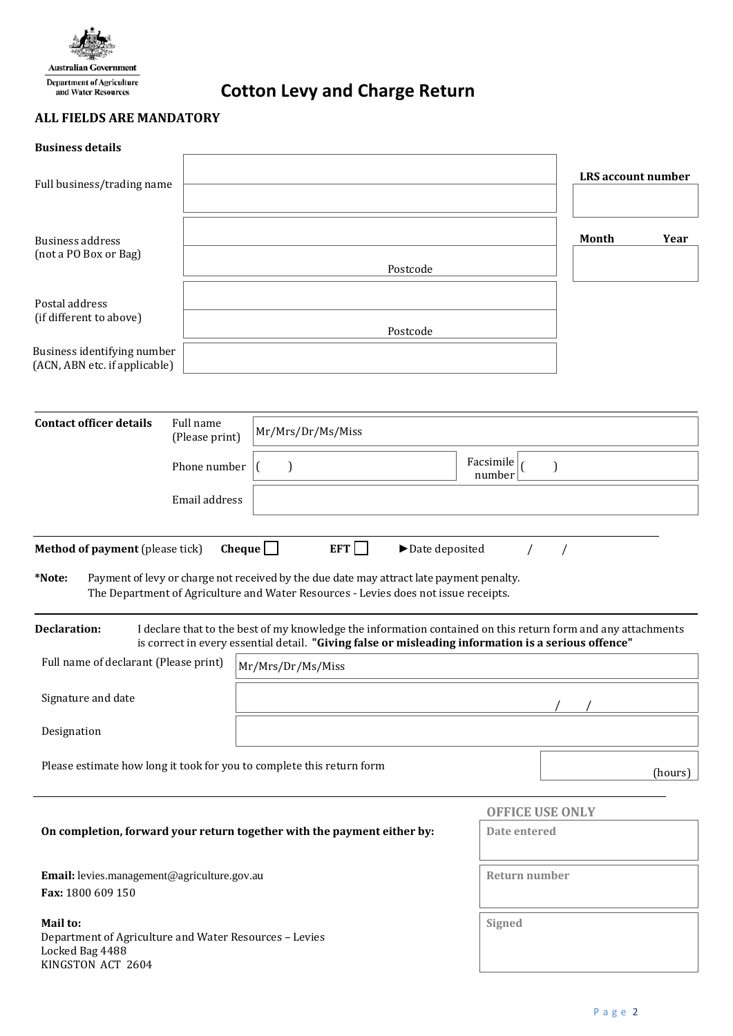

**Cotton Levy and Charge Return**

## **ALL FIELDS ARE MANDATORY**

| <b>Business details</b>                                                                                    |                             |                                                                                                                                                                                                                                                 |                             |                           |  |  |  |
|------------------------------------------------------------------------------------------------------------|-----------------------------|-------------------------------------------------------------------------------------------------------------------------------------------------------------------------------------------------------------------------------------------------|-----------------------------|---------------------------|--|--|--|
| Full business/trading name                                                                                 |                             |                                                                                                                                                                                                                                                 |                             | <b>LRS</b> account number |  |  |  |
|                                                                                                            |                             |                                                                                                                                                                                                                                                 |                             |                           |  |  |  |
| Business address                                                                                           |                             |                                                                                                                                                                                                                                                 |                             | Month<br>Year             |  |  |  |
| (not a PO Box or Bag)                                                                                      |                             | Postcode                                                                                                                                                                                                                                        |                             |                           |  |  |  |
| Postal address                                                                                             |                             |                                                                                                                                                                                                                                                 |                             |                           |  |  |  |
| (if different to above)                                                                                    |                             | Postcode                                                                                                                                                                                                                                        |                             |                           |  |  |  |
| Business identifying number<br>(ACN, ABN etc. if applicable)                                               |                             |                                                                                                                                                                                                                                                 |                             |                           |  |  |  |
|                                                                                                            |                             |                                                                                                                                                                                                                                                 |                             |                           |  |  |  |
| <b>Contact officer details</b>                                                                             | Full name<br>(Please print) | Mr/Mrs/Dr/Ms/Miss                                                                                                                                                                                                                               |                             |                           |  |  |  |
|                                                                                                            | Phone number                | $\mathbf{I}$                                                                                                                                                                                                                                    | Facsimile $\vert$<br>number | ſ                         |  |  |  |
|                                                                                                            | Email address               |                                                                                                                                                                                                                                                 |                             |                           |  |  |  |
| Method of payment (please tick)<br>*Note:                                                                  |                             | Cheque $\Box$<br>EFT<br>$\blacktriangleright$ Date deposited<br>Payment of levy or charge not received by the due date may attract late payment penalty.<br>The Department of Agriculture and Water Resources - Levies does not issue receipts. |                             |                           |  |  |  |
| <b>Declaration:</b>                                                                                        |                             | I declare that to the best of my knowledge the information contained on this return form and any attachments<br>is correct in every essential detail. "Giving false or misleading information is a serious offence"                             |                             |                           |  |  |  |
| Full name of declarant (Please print)                                                                      |                             | Mr/Mrs/Dr/Ms/Miss                                                                                                                                                                                                                               |                             |                           |  |  |  |
| Signature and date                                                                                         |                             |                                                                                                                                                                                                                                                 |                             |                           |  |  |  |
| Designation                                                                                                |                             |                                                                                                                                                                                                                                                 |                             |                           |  |  |  |
|                                                                                                            |                             | Please estimate how long it took for you to complete this return form                                                                                                                                                                           |                             | (hours)                   |  |  |  |
|                                                                                                            | <b>OFFICE USE ONLY</b>      |                                                                                                                                                                                                                                                 |                             |                           |  |  |  |
|                                                                                                            |                             | On completion, forward your return together with the payment either by:                                                                                                                                                                         | Date entered                |                           |  |  |  |
| Email: levies.management@agriculture.gov.au<br>Fax: 1800 609 150                                           |                             | Return number                                                                                                                                                                                                                                   |                             |                           |  |  |  |
| Mail to:<br>Department of Agriculture and Water Resources - Levies<br>Locked Bag 4488<br>KINGSTON ACT 2604 |                             | Signed                                                                                                                                                                                                                                          |                             |                           |  |  |  |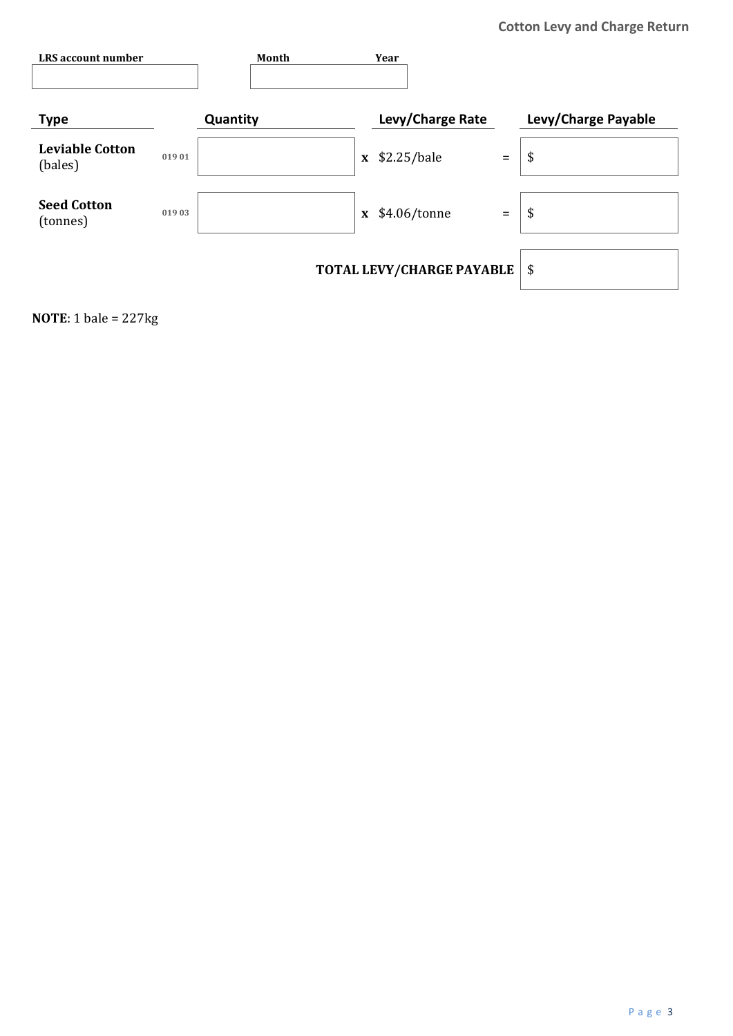| LRS account number                |       | Month                     |              | Year             |          |                     |
|-----------------------------------|-------|---------------------------|--------------|------------------|----------|---------------------|
|                                   |       |                           |              |                  |          |                     |
| <b>Type</b>                       |       | Quantity                  |              | Levy/Charge Rate |          | Levy/Charge Payable |
| <b>Leviable Cotton</b><br>(bales) | 01901 |                           |              | $x$ \$2.25/bale  | $\equiv$ | \$                  |
| <b>Seed Cotton</b><br>(tonnes)    | 01903 |                           | $\mathbf{x}$ | \$4.06/tonne     | $\equiv$ | \$                  |
|                                   |       | TOTAL LEVY/CHARGE PAYABLE | \$           |                  |          |                     |

**NOTE**: 1 bale = 227kg